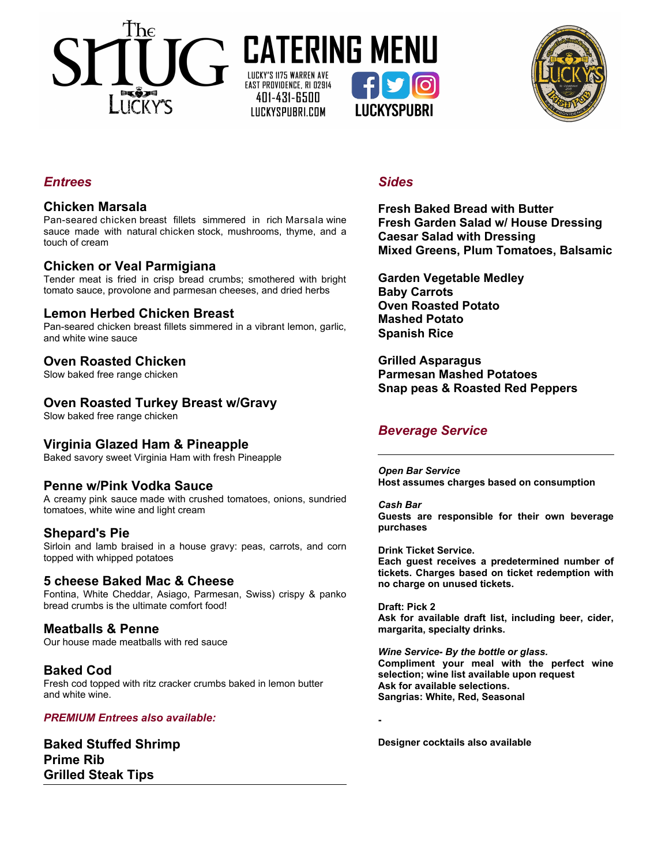





# *Entrees*

## **Chicken Marsala**

Pan-seared chicken breast fillets simmered in rich Marsala wine sauce made with natural chicken stock, mushrooms, thyme, and a touch of cream

# **Chicken or Veal Parmigiana**

Tender meat is fried in crisp bread crumbs; smothered with bright tomato sauce, provolone and parmesan cheeses, and dried herbs

## **Lemon Herbed Chicken Breast**

Pan-seared chicken breast fillets simmered in a vibrant lemon, garlic, and white wine sauce

## **Oven Roasted Chicken**

Slow baked free range chicken

# **Oven Roasted Turkey Breast w/Gravy**

Slow baked free range chicken

# **Virginia Glazed Ham & Pineapple**

Baked savory sweet Virginia Ham with fresh Pineapple

### **Penne w/Pink Vodka Sauce**

A creamy pink sauce made with crushed tomatoes, onions, sundried tomatoes, white wine and light cream

### **Shepard's Pie**

Sirloin and lamb braised in a house gravy: peas, carrots, and corn topped with whipped potatoes

### **5 cheese Baked Mac & Cheese**

Fontina, White Cheddar, Asiago, Parmesan, Swiss) crispy & panko bread crumbs is the ultimate comfort food!

### **Meatballs & Penne**

Our house made meatballs with red sauce

# **Baked Cod**

Fresh cod topped with ritz cracker crumbs baked in lemon butter and white wine.

#### *PREMIUM Entrees also available:*

**Baked Stuffed Shrimp Prime Rib Grilled Steak Tips**

### *Sides*

**Fresh Baked Bread with Butter Fresh Garden Salad w/ House Dressing Caesar Salad with Dressing Mixed Greens, Plum Tomatoes, Balsamic**

**Garden Vegetable Medley Baby Carrots Oven Roasted Potato Mashed Potato Spanish Rice**

**Grilled Asparagus Parmesan Mashed Potatoes Snap peas & Roasted Red Peppers**

# *Beverage Service*

*Open Bar Service* **Host assumes charges based on consumption**

*Cash Bar* **Guests are responsible for their own beverage purchases**

**Drink Ticket Service. Each guest receives a predetermined number of tickets. Charges based on ticket redemption with no charge on unused tickets.**

**Draft: Pick 2 Ask for available draft list, including beer, cider, margarita, specialty drinks.**

*Wine Service- By the bottle or glass.* **Compliment your meal with the perfect wine selection; wine list available upon request Ask for available selections. Sangrias: White, Red, Seasonal**

**Designer cocktails also available**

**-**